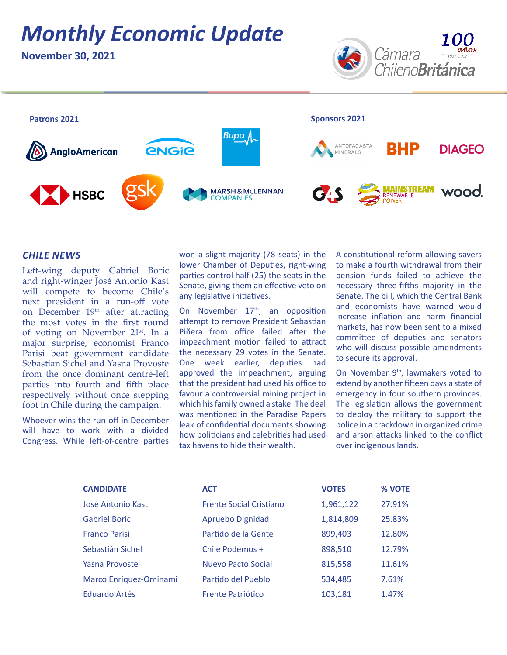# *Monthly Economic Update*

**November 30, 2021**





### *CHILE NEWS*

Left-wing deputy Gabriel Boric and right-winger José Antonio Kast will compete to become Chile's next president in a run-off vote on December 19<sup>th</sup> after attracting the most votes in the first round of voting on November 21<sup>st</sup>. In a major surprise, economist Franco Parisi beat government candidate Sebastian Sichel and Yasna Provoste from the once dominant centre-left parties into fourth and fifth place respectively without once stepping foot in Chile during the campaign.

Whoever wins the run-off in December will have to work with a divided Congress. While left-of-centre parties won a slight majority (78 seats) in the lower Chamber of Deputies, right-wing parties control half (25) the seats in the Senate, giving them an effective veto on any legislative initiatives.

On November  $17<sup>th</sup>$ , an opposition attempt to remove President Sebastian Piñera from office failed after the impeachment motion failed to attract the necessary 29 votes in the Senate. One week earlier, deputies had approved the impeachment, arguing that the president had used his office to favour a controversial mining project in which his family owned a stake. The deal was mentioned in the Paradise Papers leak of confidential documents showing how politicians and celebrities had used tax havens to hide their wealth.

A constitutional reform allowing savers to make a fourth withdrawal from their pension funds failed to achieve the necessary three-fifths majority in the Senate. The bill, which the Central Bank and economists have warned would increase inflation and harm financial markets, has now been sent to a mixed committee of deputies and senators who will discuss possible amendments to secure its approval.

On November 9<sup>th</sup>, lawmakers voted to extend by another fifteen days a state of emergency in four southern provinces. The legislation allows the government to deploy the military to support the police in a crackdown in organized crime and arson attacks linked to the conflict over indigenous lands.

| <b>CANDIDATE</b>       | <b>ACT</b>                     | <b>VOTES</b> | % VOTE |
|------------------------|--------------------------------|--------------|--------|
| José Antonio Kast      | <b>Frente Social Cristiano</b> | 1,961,122    | 27.91% |
| <b>Gabriel Boric</b>   | Apruebo Dignidad               | 1,814,809    | 25.83% |
| <b>Franco Parisi</b>   | Partido de la Gente            | 899,403      | 12.80% |
| Sebastián Sichel       | Chile Podemos +                | 898,510      | 12.79% |
| Yasna Provoste         | Nuevo Pacto Social             | 815,558      | 11.61% |
| Marco Enríquez-Ominami | Partido del Pueblo             | 534,485      | 7.61%  |
| Eduardo Artés          | <b>Frente Patriótico</b>       | 103,181      | 1.47%  |